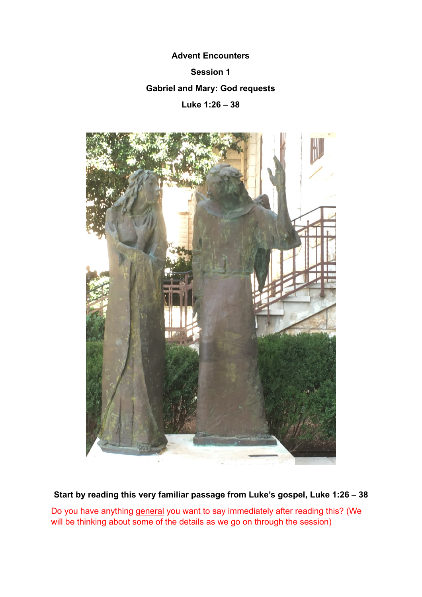# **Advent Encounters**

# **Session 1**

## **Gabriel and Mary: God requests**

**Luke 1:26 – 38** 



**Start by reading this very familiar passage from Luke's gospel, Luke 1:26 – 38** 

Do you have anything general you want to say immediately after reading this? (We will be thinking about some of the details as we go on through the session)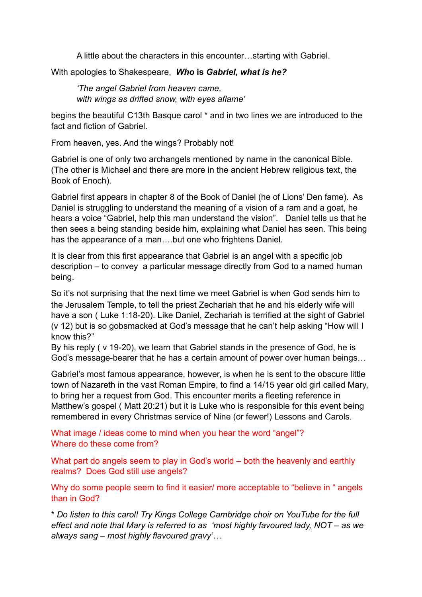A little about the characters in this encounter…starting with Gabriel.

With apologies to Shakespeare, *Who* **is** *Gabriel, what is he?* 

*'The angel Gabriel from heaven came, with wings as drifted snow, with eyes aflame'* 

begins the beautiful C13th Basque carol \* and in two lines we are introduced to the fact and fiction of Gabriel.

From heaven, yes. And the wings? Probably not!

Gabriel is one of only two archangels mentioned by name in the canonical Bible. (The other is Michael and there are more in the ancient Hebrew religious text, the Book of Enoch).

Gabriel first appears in chapter 8 of the Book of Daniel (he of Lions' Den fame). As Daniel is struggling to understand the meaning of a vision of a ram and a goat, he hears a voice "Gabriel, help this man understand the vision". Daniel tells us that he then sees a being standing beside him, explaining what Daniel has seen. This being has the appearance of a man….but one who frightens Daniel.

It is clear from this first appearance that Gabriel is an angel with a specific job description – to convey a particular message directly from God to a named human being.

So it's not surprising that the next time we meet Gabriel is when God sends him to the Jerusalem Temple, to tell the priest Zechariah that he and his elderly wife will have a son ( Luke 1:18-20). Like Daniel, Zechariah is terrified at the sight of Gabriel (v 12) but is so gobsmacked at God's message that he can't help asking "How will I know this?"

By his reply ( v 19-20), we learn that Gabriel stands in the presence of God, he is God's message-bearer that he has a certain amount of power over human beings…

Gabriel's most famous appearance, however, is when he is sent to the obscure little town of Nazareth in the vast Roman Empire, to find a 14/15 year old girl called Mary, to bring her a request from God. This encounter merits a fleeting reference in Matthew's gospel ( Matt 20:21) but it is Luke who is responsible for this event being remembered in every Christmas service of Nine (or fewer!) Lessons and Carols.

What image / ideas come to mind when you hear the word "angel"? Where do these come from?

What part do angels seem to play in God's world – both the heavenly and earthly realms? Does God still use angels?

Why do some people seem to find it easier/ more acceptable to "believe in " angels than in God?

\* *Do listen to this carol! Try Kings College Cambridge choir on YouTube for the full effect and note that Mary is referred to as 'most highly favoured lady, NOT – as we always sang – most highly flavoured gravy'…*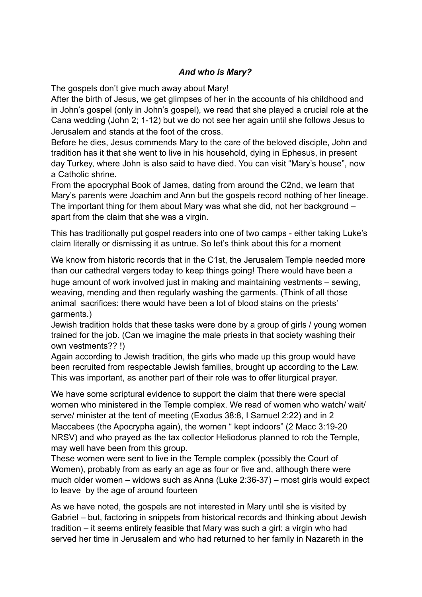## *And who is Mary?*

The gospels don't give much away about Mary!

After the birth of Jesus, we get glimpses of her in the accounts of his childhood and in John's gospel (only in John's gospel), we read that she played a crucial role at the Cana wedding (John 2; 1-12) but we do not see her again until she follows Jesus to Jerusalem and stands at the foot of the cross.

Before he dies, Jesus commends Mary to the care of the beloved disciple, John and tradition has it that she went to live in his household, dying in Ephesus, in present day Turkey, where John is also said to have died. You can visit "Mary's house", now a Catholic shrine.

From the apocryphal Book of James, dating from around the C2nd, we learn that Mary's parents were Joachim and Ann but the gospels record nothing of her lineage. The important thing for them about Mary was what she did, not her background – apart from the claim that she was a virgin.

This has traditionally put gospel readers into one of two camps - either taking Luke's claim literally or dismissing it as untrue. So let's think about this for a moment

We know from historic records that in the C1st, the Jerusalem Temple needed more than our cathedral vergers today to keep things going! There would have been a huge amount of work involved just in making and maintaining vestments – sewing, weaving, mending and then regularly washing the garments. (Think of all those animal sacrifices: there would have been a lot of blood stains on the priests' garments.)

Jewish tradition holds that these tasks were done by a group of girls / young women trained for the job. (Can we imagine the male priests in that society washing their own vestments?? !)

Again according to Jewish tradition, the girls who made up this group would have been recruited from respectable Jewish families, brought up according to the Law. This was important, as another part of their role was to offer liturgical prayer.

We have some scriptural evidence to support the claim that there were special women who ministered in the Temple complex. We read of women who watch/ wait/ serve/ minister at the tent of meeting (Exodus 38:8, I Samuel 2:22) and in 2 Maccabees (the Apocrypha again), the women " kept indoors" (2 Macc 3:19-20 NRSV) and who prayed as the tax collector Heliodorus planned to rob the Temple, may well have been from this group.

These women were sent to live in the Temple complex (possibly the Court of Women), probably from as early an age as four or five and, although there were much older women – widows such as Anna (Luke 2:36-37) – most girls would expect to leave by the age of around fourteen

As we have noted, the gospels are not interested in Mary until she is visited by Gabriel – but, factoring in snippets from historical records and thinking about Jewish tradition – it seems entirely feasible that Mary was such a girl: a virgin who had served her time in Jerusalem and who had returned to her family in Nazareth in the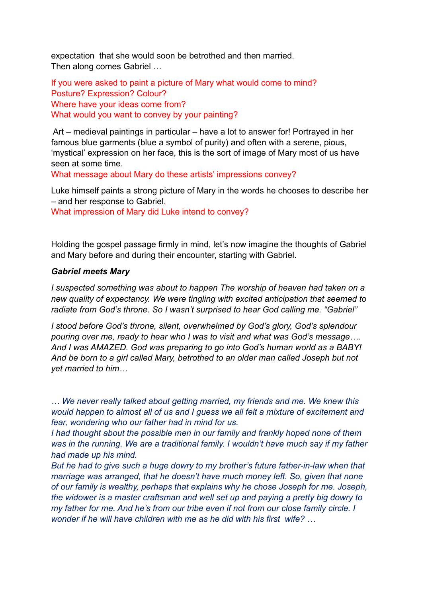expectation that she would soon be betrothed and then married. Then along comes Gabriel …

If you were asked to paint a picture of Mary what would come to mind? Posture? Expression? Colour? Where have your ideas come from? What would you want to convey by your painting?

Art – medieval paintings in particular – have a lot to answer for! Portrayed in her famous blue garments (blue a symbol of purity) and often with a serene, pious, 'mystical' expression on her face, this is the sort of image of Mary most of us have seen at some time.

What message about Mary do these artists' impressions convey?

Luke himself paints a strong picture of Mary in the words he chooses to describe her – and her response to Gabriel.

What impression of Mary did Luke intend to convey?

Holding the gospel passage firmly in mind, let's now imagine the thoughts of Gabriel and Mary before and during their encounter, starting with Gabriel.

#### *Gabriel meets Mary*

*I suspected something was about to happen The worship of heaven had taken on a new quality of expectancy. We were tingling with excited anticipation that seemed to radiate from God's throne. So I wasn't surprised to hear God calling me. "Gabriel"* 

*I stood before God's throne, silent, overwhelmed by God's glory, God's splendour pouring over me, ready to hear who I was to visit and what was God's message…. And I was AMAZED. God was preparing to go into God's human world as a BABY! And be born to a girl called Mary, betrothed to an older man called Joseph but not yet married to him…* 

*… We never really talked about getting married, my friends and me. We knew this would happen to almost all of us and I guess we all felt a mixture of excitement and fear, wondering who our father had in mind for us.* 

*I had thought about the possible men in our family and frankly hoped none of them was in the running. We are a traditional family. I wouldn't have much say if my father had made up his mind.* 

*But he had to give such a huge dowry to my brother's future father-in-law when that marriage was arranged, that he doesn't have much money left. So, given that none of our family is wealthy, perhaps that explains why he chose Joseph for me. Joseph, the widower is a master craftsman and well set up and paying a pretty big dowry to my father for me. And he's from our tribe even if not from our close family circle. I wonder if he will have children with me as he did with his first wife? …*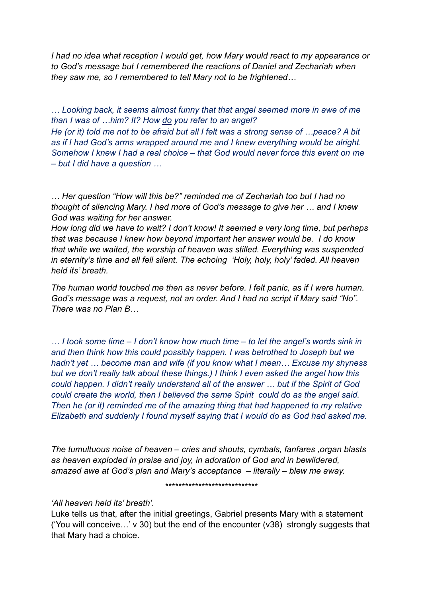*I had no idea what reception I would get, how Mary would react to my appearance or to God's message but I remembered the reactions of Daniel and Zechariah when they saw me, so I remembered to tell Mary not to be frightened…* 

*… Looking back, it seems almost funny that that angel seemed more in awe of me than I was of …him? It? How do you refer to an angel? He (or it) told me not to be afraid but all I felt was a strong sense of …peace? A bit as if I had God's arms wrapped around me and I knew everything would be alright. Somehow I knew I had a real choice – that God would never force this event on me – but I did have a question …* 

*… Her question "How will this be?" reminded me of Zechariah too but I had no thought of silencing Mary. I had more of God's message to give her … and I knew God was waiting for her answer.* 

*How long did we have to wait? I don't know! It seemed a very long time, but perhaps that was because I knew how beyond important her answer would be. I do know that while we waited, the worship of heaven was stilled. Everything was suspended in eternity's time and all fell silent. The echoing 'Holy, holy, holy' faded. All heaven held its' breath.* 

*The human world touched me then as never before. I felt panic, as if I were human. God's message was a request, not an order. And I had no script if Mary said "No". There was no Plan B…* 

*… I took some time – I don't know how much time – to let the angel's words sink in and then think how this could possibly happen. I was betrothed to Joseph but we hadn't yet … become man and wife (if you know what I mean… Excuse my shyness but we don't really talk about these things.) I think I even asked the angel how this could happen. I didn't really understand all of the answer … but if the Spirit of God could create the world, then I believed the same Spirit could do as the angel said. Then he (or it) reminded me of the amazing thing that had happened to my relative Elizabeth and suddenly I found myself saying that I would do as God had asked me.* 

*The tumultuous noise of heaven – cries and shouts, cymbals, fanfares ,organ blasts as heaven exploded in praise and joy, in adoration of God and in bewildered, amazed awe at God's plan and Mary's acceptance – literally – blew me away.* 

*\*\*\*\*\*\*\*\*\*\*\*\*\*\*\*\*\*\*\*\*\*\*\*\*\*\*\*\** 

### *'All heaven held its' breath'.*

Luke tells us that, after the initial greetings, Gabriel presents Mary with a statement ('You will conceive…' v 30) but the end of the encounter (v38) strongly suggests that that Mary had a choice.